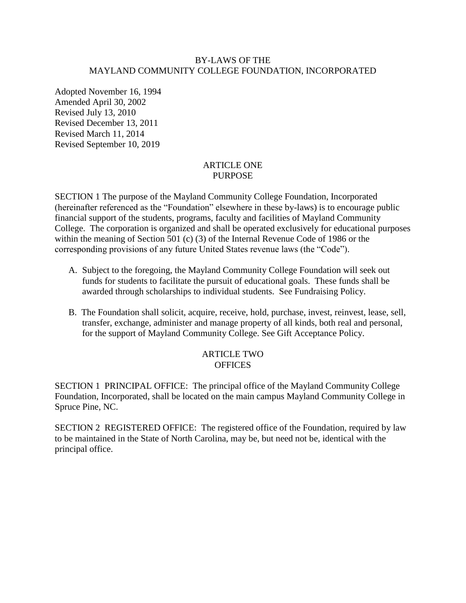#### BY-LAWS OF THE MAYLAND COMMUNITY COLLEGE FOUNDATION, INCORPORATED

Adopted November 16, 1994 Amended April 30, 2002 Revised July 13, 2010 Revised December 13, 2011 Revised March 11, 2014 Revised September 10, 2019

#### ARTICLE ONE PURPOSE

SECTION 1 The purpose of the Mayland Community College Foundation, Incorporated (hereinafter referenced as the "Foundation" elsewhere in these by-laws) is to encourage public financial support of the students, programs, faculty and facilities of Mayland Community College. The corporation is organized and shall be operated exclusively for educational purposes within the meaning of Section 501 (c) (3) of the Internal Revenue Code of 1986 or the corresponding provisions of any future United States revenue laws (the "Code").

- A. Subject to the foregoing, the Mayland Community College Foundation will seek out funds for students to facilitate the pursuit of educational goals. These funds shall be awarded through scholarships to individual students. See Fundraising Policy.
- B. The Foundation shall solicit, acquire, receive, hold, purchase, invest, reinvest, lease, sell, transfer, exchange, administer and manage property of all kinds, both real and personal, for the support of Mayland Community College. See Gift Acceptance Policy.

## ARTICLE TWO **OFFICES**

SECTION 1 PRINCIPAL OFFICE: The principal office of the Mayland Community College Foundation, Incorporated, shall be located on the main campus Mayland Community College in Spruce Pine, NC.

SECTION 2 REGISTERED OFFICE: The registered office of the Foundation, required by law to be maintained in the State of North Carolina, may be, but need not be, identical with the principal office.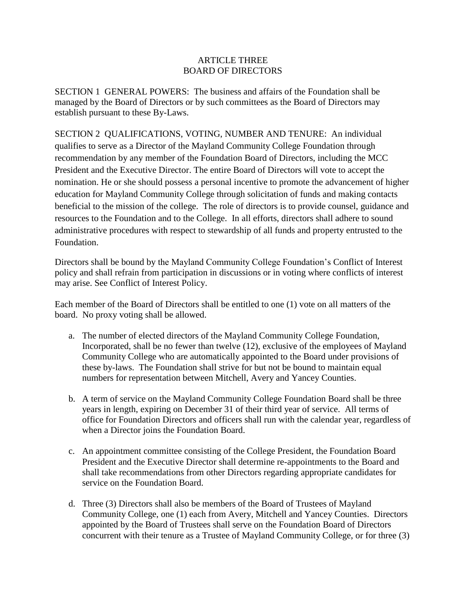## ARTICLE THREE BOARD OF DIRECTORS

SECTION 1 GENERAL POWERS: The business and affairs of the Foundation shall be managed by the Board of Directors or by such committees as the Board of Directors may establish pursuant to these By-Laws.

SECTION 2 QUALIFICATIONS, VOTING, NUMBER AND TENURE: An individual qualifies to serve as a Director of the Mayland Community College Foundation through recommendation by any member of the Foundation Board of Directors, including the MCC President and the Executive Director. The entire Board of Directors will vote to accept the nomination. He or she should possess a personal incentive to promote the advancement of higher education for Mayland Community College through solicitation of funds and making contacts beneficial to the mission of the college. The role of directors is to provide counsel, guidance and resources to the Foundation and to the College. In all efforts, directors shall adhere to sound administrative procedures with respect to stewardship of all funds and property entrusted to the Foundation.

Directors shall be bound by the Mayland Community College Foundation's Conflict of Interest policy and shall refrain from participation in discussions or in voting where conflicts of interest may arise. See Conflict of Interest Policy.

Each member of the Board of Directors shall be entitled to one (1) vote on all matters of the board. No proxy voting shall be allowed.

- a. The number of elected directors of the Mayland Community College Foundation, Incorporated, shall be no fewer than twelve (12), exclusive of the employees of Mayland Community College who are automatically appointed to the Board under provisions of these by-laws. The Foundation shall strive for but not be bound to maintain equal numbers for representation between Mitchell, Avery and Yancey Counties.
- b. A term of service on the Mayland Community College Foundation Board shall be three years in length, expiring on December 31 of their third year of service. All terms of office for Foundation Directors and officers shall run with the calendar year, regardless of when a Director joins the Foundation Board.
- c. An appointment committee consisting of the College President, the Foundation Board President and the Executive Director shall determine re-appointments to the Board and shall take recommendations from other Directors regarding appropriate candidates for service on the Foundation Board.
- d. Three (3) Directors shall also be members of the Board of Trustees of Mayland Community College, one (1) each from Avery, Mitchell and Yancey Counties. Directors appointed by the Board of Trustees shall serve on the Foundation Board of Directors concurrent with their tenure as a Trustee of Mayland Community College, or for three (3)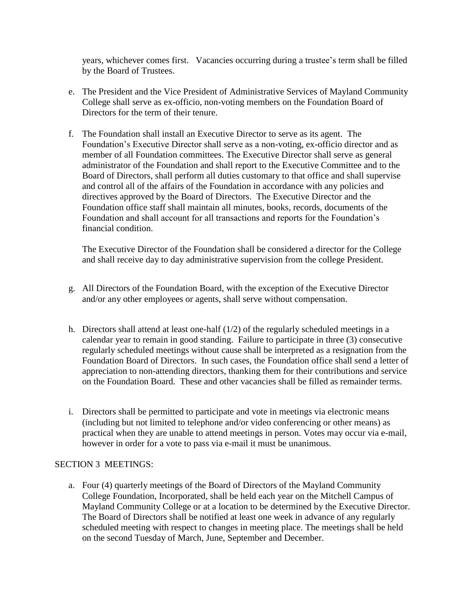years, whichever comes first. Vacancies occurring during a trustee's term shall be filled by the Board of Trustees.

- e. The President and the Vice President of Administrative Services of Mayland Community College shall serve as ex-officio, non-voting members on the Foundation Board of Directors for the term of their tenure.
- f. The Foundation shall install an Executive Director to serve as its agent. The Foundation's Executive Director shall serve as a non-voting, ex-officio director and as member of all Foundation committees. The Executive Director shall serve as general administrator of the Foundation and shall report to the Executive Committee and to the Board of Directors, shall perform all duties customary to that office and shall supervise and control all of the affairs of the Foundation in accordance with any policies and directives approved by the Board of Directors. The Executive Director and the Foundation office staff shall maintain all minutes, books, records, documents of the Foundation and shall account for all transactions and reports for the Foundation's financial condition.

The Executive Director of the Foundation shall be considered a director for the College and shall receive day to day administrative supervision from the college President.

- g. All Directors of the Foundation Board, with the exception of the Executive Director and/or any other employees or agents, shall serve without compensation.
- h. Directors shall attend at least one-half  $(1/2)$  of the regularly scheduled meetings in a calendar year to remain in good standing. Failure to participate in three (3) consecutive regularly scheduled meetings without cause shall be interpreted as a resignation from the Foundation Board of Directors. In such cases, the Foundation office shall send a letter of appreciation to non-attending directors, thanking them for their contributions and service on the Foundation Board. These and other vacancies shall be filled as remainder terms.
- i. Directors shall be permitted to participate and vote in meetings via electronic means (including but not limited to telephone and/or video conferencing or other means) as practical when they are unable to attend meetings in person. Votes may occur via e-mail, however in order for a vote to pass via e-mail it must be unanimous.

#### SECTION 3 MEETINGS:

a. Four (4) quarterly meetings of the Board of Directors of the Mayland Community College Foundation, Incorporated, shall be held each year on the Mitchell Campus of Mayland Community College or at a location to be determined by the Executive Director. The Board of Directors shall be notified at least one week in advance of any regularly scheduled meeting with respect to changes in meeting place. The meetings shall be held on the second Tuesday of March, June, September and December.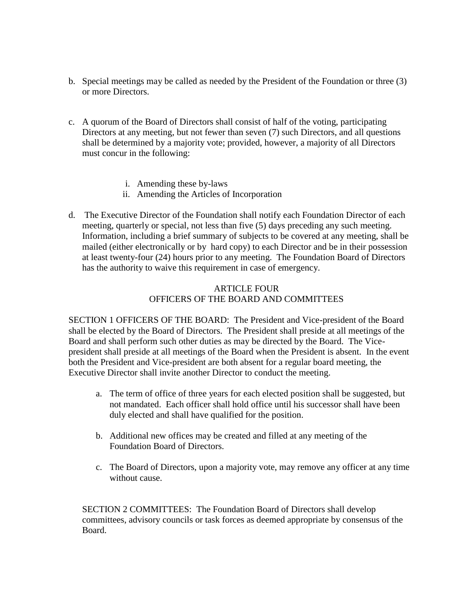- b. Special meetings may be called as needed by the President of the Foundation or three (3) or more Directors.
- c. A quorum of the Board of Directors shall consist of half of the voting, participating Directors at any meeting, but not fewer than seven (7) such Directors, and all questions shall be determined by a majority vote; provided, however, a majority of all Directors must concur in the following:
	- i. Amending these by-laws
	- ii. Amending the Articles of Incorporation
- d. The Executive Director of the Foundation shall notify each Foundation Director of each meeting, quarterly or special, not less than five (5) days preceding any such meeting. Information, including a brief summary of subjects to be covered at any meeting, shall be mailed (either electronically or by hard copy) to each Director and be in their possession at least twenty-four (24) hours prior to any meeting. The Foundation Board of Directors has the authority to waive this requirement in case of emergency.

## ARTICLE FOUR OFFICERS OF THE BOARD AND COMMITTEES

SECTION 1 OFFICERS OF THE BOARD: The President and Vice-president of the Board shall be elected by the Board of Directors. The President shall preside at all meetings of the Board and shall perform such other duties as may be directed by the Board. The Vicepresident shall preside at all meetings of the Board when the President is absent. In the event both the President and Vice-president are both absent for a regular board meeting, the Executive Director shall invite another Director to conduct the meeting.

- a. The term of office of three years for each elected position shall be suggested, but not mandated. Each officer shall hold office until his successor shall have been duly elected and shall have qualified for the position.
- b. Additional new offices may be created and filled at any meeting of the Foundation Board of Directors.
- c. The Board of Directors, upon a majority vote, may remove any officer at any time without cause.

SECTION 2 COMMITTEES: The Foundation Board of Directors shall develop committees, advisory councils or task forces as deemed appropriate by consensus of the Board.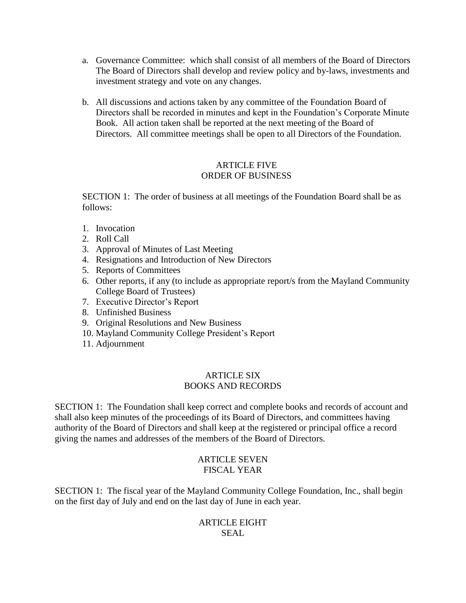- a. Governance Committee: which shall consist of all members of the Board of Directors The Board of Directors shall develop and review policy and by-laws, investments and investment strategy and vote on any changes.
- b. All discussions and actions taken by any committee of the Foundation Board of Directors shall be recorded in minutes and kept in the Foundation's Corporate Minute Book. All action taken shall be reported at the next meeting of the Board of Directors. All committee meetings shall be open to all Directors of the Foundation.

#### ARTICLE FIVE ORDER OF BUSINESS

SECTION 1: The order of business at all meetings of the Foundation Board shall be as follows:

- 1. Invocation
- 2. Roll Call
- 3. Approval of Minutes of Last Meeting
- 4. Resignations and Introduction of New Directors
- 5. Reports of Committees
- 6. Other reports, if any (to include as appropriate report/s from the Mayland Community College Board of Trustees)
- 7. Executive Director's Report
- 8. Unfinished Business
- 9. Original Resolutions and New Business
- 10. Mayland Community College President's Report
- 11. Adjournment

#### ARTICLE SIX BOOKS AND RECORDS

SECTION 1: The Foundation shall keep correct and complete books and records of account and shall also keep minutes of the proceedings of its Board of Directors, and committees having authority of the Board of Directors and shall keep at the registered or principal office a record giving the names and addresses of the members of the Board of Directors.

## ARTICLE SEVEN FISCAL YEAR

SECTION 1: The fiscal year of the Mayland Community College Foundation, Inc., shall begin on the first day of July and end on the last day of June in each year.

# ARTICLE EIGHT SEAL